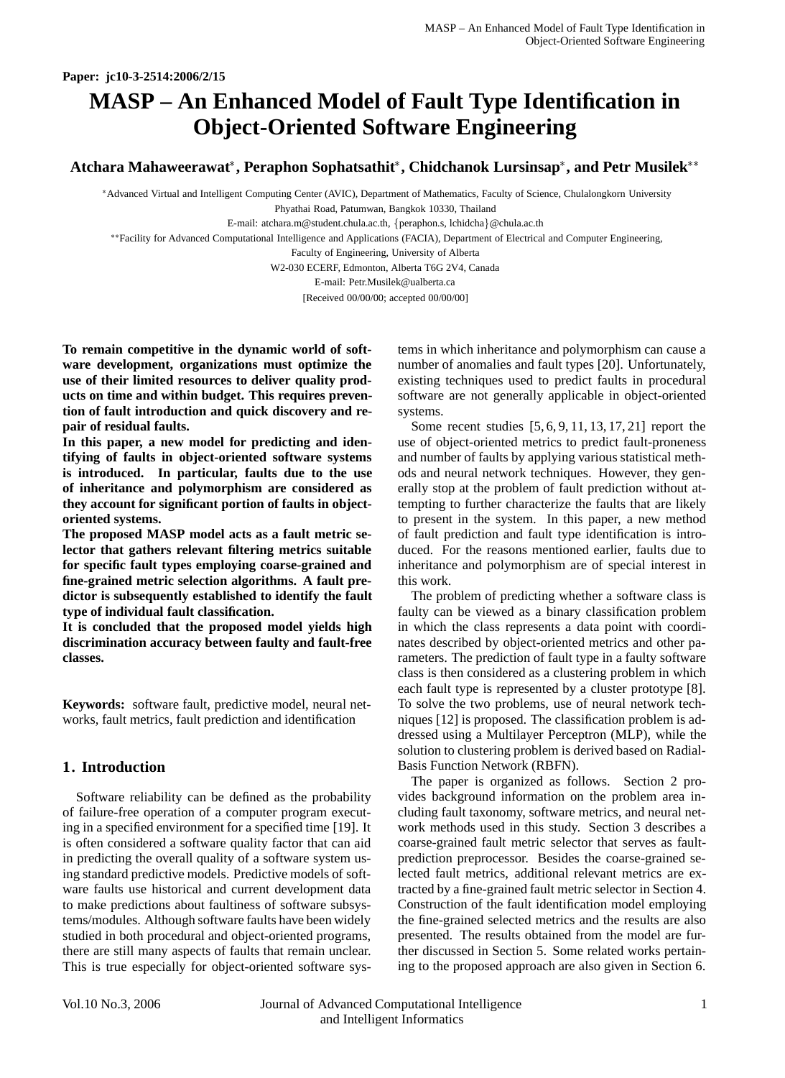# **MASP – An Enhanced Model of Fault Type Identification in Object-Oriented Software Engineering**

**Atchara Mahaweerawat , Peraphon Sophatsathit , Chidchanok Lursinsap , and Petr Musilek**

 Advanced Virtual and Intelligent Computing Center (AVIC), Department of Mathematics, Faculty of Science, Chulalongkorn University Phyathai Road, Patumwan, Bangkok 10330, Thailand

E-mail: atchara.m@student.chula.ac.th, {peraphon.s, lchidcha}@chula.ac.th

Facility for Advanced Computational Intelligence and Applications (FACIA), Department of Electrical and Computer Engineering,

Faculty of Engineering, University of Alberta

W2-030 ECERF, Edmonton, Alberta T6G 2V4, Canada

E-mail: Petr.Musilek@ualberta.ca

[Received 00/00/00; accepted 00/00/00]

**To remain competitive in the dynamic world of software development, organizations must optimize the use of their limited resources to deliver quality products on time and within budget. This requires prevention of fault introduction and quick discovery and repair of residual faults.**

**In this paper, a new model for predicting and identifying of faults in object-oriented software systems is introduced. In particular, faults due to the use of inheritance and polymorphism are considered as they account for significant portion of faults in objectoriented systems.**

**The proposed MASP model acts as a fault metric selector that gathers relevant filtering metrics suitable for specific fault types employing coarse-grained and fine-grained metric selection algorithms. A fault predictor is subsequently established to identify the fault type of individual fault classification.**

**It is concluded that the proposed model yields high discrimination accuracy between faulty and fault-free classes.**

**Keywords:** software fault, predictive model, neural networks, fault metrics, fault prediction and identification

# **1. Introduction**

Software reliability can be defined as the probability of failure-free operation of a computer program executing in a specified environment for a specified time [19]. It is often considered a software quality factor that can aid in predicting the overall quality of a software system using standard predictive models. Predictive models of software faults use historical and current development data to make predictions about faultiness of software subsystems/modules. Although software faults have been widely studied in both procedural and object-oriented programs, there are still many aspects of faults that remain unclear. This is true especially for object-oriented software systems in which inheritance and polymorphism can cause a number of anomalies and fault types [20]. Unfortunately, existing techniques used to predict faults in procedural software are not generally applicable in object-oriented systems.

Some recent studies [5, 6, 9, 11, 13, 17, 21] report the use of object-oriented metrics to predict fault-proneness and number of faults by applying various statistical methods and neural network techniques. However, they generally stop at the problem of fault prediction without attempting to further characterize the faults that are likely to present in the system. In this paper, a new method of fault prediction and fault type identification is introduced. For the reasons mentioned earlier, faults due to inheritance and polymorphism are of special interest in this work.

The problem of predicting whether a software class is faulty can be viewed as a binary classification problem in which the class represents a data point with coordinates described by object-oriented metrics and other parameters. The prediction of fault type in a faulty software class is then considered as a clustering problem in which each fault type is represented by a cluster prototype [8]. To solve the two problems, use of neural network techniques [12] is proposed. The classification problem is addressed using a Multilayer Perceptron (MLP), while the solution to clustering problem is derived based on Radial-Basis Function Network (RBFN).

The paper is organized as follows. Section 2 provides background information on the problem area including fault taxonomy, software metrics, and neural network methods used in this study. Section 3 describes a coarse-grained fault metric selector that serves as faultprediction preprocessor. Besides the coarse-grained selected fault metrics, additional relevant metrics are extracted by a fine-grained fault metric selector in Section 4. Construction of the fault identification model employing the fine-grained selected metrics and the results are also presented. The results obtained from the model are further discussed in Section 5. Some related works pertaining to the proposed approach are also given in Section 6.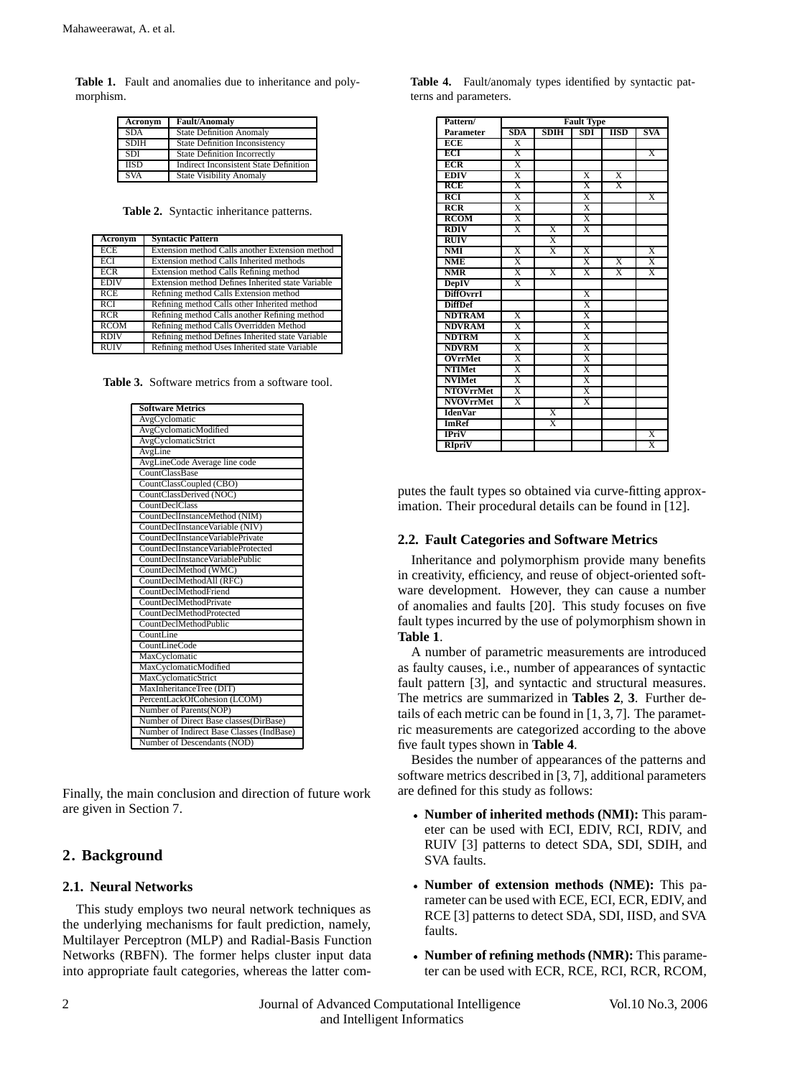**Table 1.** Fault and anomalies due to inheritance and polymorphism.

| Acronym     | <b>Fault/Anomaly</b>                          |
|-------------|-----------------------------------------------|
| SDA         | <b>State Definition Anomaly</b>               |
| <b>SDIH</b> | <b>State Definition Inconsistency</b>         |
| <b>SDI</b>  | <b>State Definition Incorrectly</b>           |
| <b>IISD</b> | <b>Indirect Inconsistent State Definition</b> |
| <b>SVA</b>  | <b>State Visibility Anomaly</b>               |

**Table 2.** Syntactic inheritance patterns.

| Acronym     | <b>Syntactic Pattern</b>                          |
|-------------|---------------------------------------------------|
| <b>ECE</b>  | Extension method Calls another Extension method   |
| ECI         | Extension method Calls Inherited methods          |
| <b>ECR</b>  | Extension method Calls Refining method            |
| <b>EDIV</b> | Extension method Defines Inherited state Variable |
| RCE         | Refining method Calls Extension method            |
| RCI         | Refining method Calls other Inherited method      |
| RCR         | Refining method Calls another Refining method     |
| <b>RCOM</b> | Refining method Calls Overridden Method           |
| <b>RDIV</b> | Refining method Defines Inherited state Variable  |
| <b>RUIV</b> | Refining method Uses Inherited state Variable     |

**Table 3.** Software metrics from a software tool.

| <b>Software Metrics</b>                   |
|-------------------------------------------|
| AvgCyclomatic                             |
| AvgCyclomaticModified                     |
| AvgCyclomaticStrict                       |
| AvgLine                                   |
| AvgLineCode Average line code             |
| CountClassBase                            |
| CountClassCoupled (CBO)                   |
| CountClassDerived (NOC)                   |
| <b>CountDeclClass</b>                     |
| CountDeclInstanceMethod (NIM)             |
| CountDeclInstanceVariable (NIV)           |
| CountDeclInstanceVariablePrivate          |
| CountDeclInstanceVariableProtected        |
| CountDeclInstanceVariablePublic           |
| CountDeclMethod (WMC)                     |
| CountDeclMethodAll (RFC)                  |
| CountDeclMethodFriend                     |
| <b>CountDeclMethodPrivate</b>             |
| CountDeclMethodProtected                  |
| CountDeclMethodPublic                     |
| CountLine                                 |
| CountLineCode                             |
| MaxCyclomatic                             |
| MaxCyclomaticModified                     |
| MaxCyclomaticStrict                       |
| MaxInheritanceTree (DIT)                  |
| PercentLackOfCohesion (LCOM)              |
| Number of Parents(NOP)                    |
| Number of Direct Base classes(DirBase)    |
| Number of Indirect Base Classes (IndBase) |
| Number of Descendants (NOD)               |

Finally, the main conclusion and direction of future work are given in Section 7.

# **2. Background**

## **2.1. Neural Networks**

This study employs two neural network techniques as the underlying mechanisms for fault prediction, namely, Multilayer Perceptron (MLP) and Radial-Basis Function Networks (RBFN). The former helps cluster input data into appropriate fault categories, whereas the latter com-

**Table 4.** Fault/anomaly types identified by syntactic patterns and parameters.

| Pattern/         | <b>Fault Type</b>       |                         |                         |                         |                         |
|------------------|-------------------------|-------------------------|-------------------------|-------------------------|-------------------------|
| <b>Parameter</b> | SDA                     | <b>SDIH</b>             | SDI                     | <b>IISD</b>             | SVA                     |
| <b>ECE</b>       | $\overline{X}$          |                         |                         |                         |                         |
| ECI              | $\overline{\text{X}}$   |                         |                         |                         | $\overline{\text{X}}$   |
| <b>ECR</b>       | X                       |                         |                         |                         |                         |
| <b>EDIV</b>      | $\overline{\text{X}}$   |                         | $\overline{X}$          | $\overline{X}$          |                         |
| <b>RCE</b>       | X                       |                         | X                       | $\overline{\mathbf{x}}$ |                         |
| RCI              | $\overline{\text{X}}$   |                         | $\overline{\text{X}}$   |                         | $\overline{\mathbf{x}}$ |
| RCR              | $\overline{\mathbf{x}}$ |                         | $\overline{\mathbf{x}}$ |                         |                         |
| <b>RCOM</b>      | X                       |                         | X                       |                         |                         |
| <b>RDIV</b>      | $\overline{\mathbf{x}}$ | $\overline{\mathrm{X}}$ | $\overline{\text{X}}$   |                         |                         |
| <b>RUIV</b>      |                         | $\overline{\mathrm{x}}$ |                         |                         |                         |
| <b>NMI</b>       | $\overline{\mathrm{X}}$ | $\overline{\mathbf{x}}$ | $\overline{\mathrm{x}}$ |                         | $\overline{\text{X}}$   |
| <b>NME</b>       | $\overline{\text{X}}$   |                         | $\overline{\mathrm{X}}$ | $\overline{\mathrm{X}}$ | $\overline{\text{X}}$   |
| <b>NMR</b>       | $\overline{\mathbf{x}}$ | $\overline{\mathbf{x}}$ | $\overline{\mathbf{x}}$ | $\overline{\mathbf{x}}$ | $\overline{\mathbf{x}}$ |
| <b>DepIV</b>     | $\overline{\text{X}}$   |                         |                         |                         |                         |
| <b>DiffOvrrI</b> |                         |                         | $\overline{\text{X}}$   |                         |                         |
| <b>DiffDef</b>   |                         |                         | $\overline{\text{X}}$   |                         |                         |
| <b>NDTRAM</b>    | $\overline{\text{X}}$   |                         | X                       |                         |                         |
| <b>NDVRAM</b>    | $\overline{\text{X}}$   |                         | $\overline{\text{X}}$   |                         |                         |
| <b>NDTRM</b>     | $\overline{\mathrm{X}}$ |                         | $\overline{\mathrm{X}}$ |                         |                         |
| <b>NDVRM</b>     | $\overline{\text{X}}$   |                         | $\overline{X}$          |                         |                         |
| <b>OVrrMet</b>   | $\overline{\text{X}}$   |                         | $\overline{\mathrm{X}}$ |                         |                         |
| <b>NTIMet</b>    | $\overline{\mathrm{X}}$ |                         | $\overline{\mathrm{X}}$ |                         |                         |
| <b>NVIMet</b>    | $\overline{\mathbf{x}}$ |                         | $\overline{\mathbf{x}}$ |                         |                         |
| <b>NTOVrrMet</b> | $\overline{\text{X}}$   |                         | $\overline{X}$          |                         |                         |
| <b>NVOVrrMet</b> | $\overline{\text{X}}$   |                         | $\overline{\text{X}}$   |                         |                         |
| <b>IdenVar</b>   |                         | $\overline{\text{X}}$   |                         |                         |                         |
| <b>ImRef</b>     |                         | X                       |                         |                         |                         |
| <b>IPriV</b>     |                         |                         |                         |                         | X                       |
| <b>RIpriV</b>    |                         |                         |                         |                         | $\overline{\text{X}}$   |

putes the fault types so obtained via curve-fitting approximation. Their procedural details can be found in [12].

## **2.2. Fault Categories and Software Metrics**

Inheritance and polymorphism provide many benefits in creativity, efficiency, and reuse of object-oriented software development. However, they can cause a number of anomalies and faults [20]. This study focuses on five fault types incurred by the use of polymorphism shown in **Table 1**.

A number of parametric measurements are introduced as faulty causes, i.e., number of appearances of syntactic fault pattern [3], and syntactic and structural measures. The metrics are summarized in **Tables 2**, **3**. Further details of each metric can be found in [1, 3, 7]. The parametric measurements are categorized according to the above five fault types shown in **Table 4**.

Besides the number of appearances of the patterns and software metrics described in [3, 7], additional parameters are defined for this study as follows:

- **Number of inherited methods (NMI):** This parameter can be used with ECI, EDIV, RCI, RDIV, and RUIV [3] patterns to detect SDA, SDI, SDIH, and SVA faults.
- **Number of extension methods (NME):** This parameter can be used with ECE, ECI, ECR, EDIV, and RCE [3] patterns to detect SDA, SDI, IISD, and SVA faults.
- **Number of refining methods (NMR):** This parameter can be used with ECR, RCE, RCI, RCR, RCOM,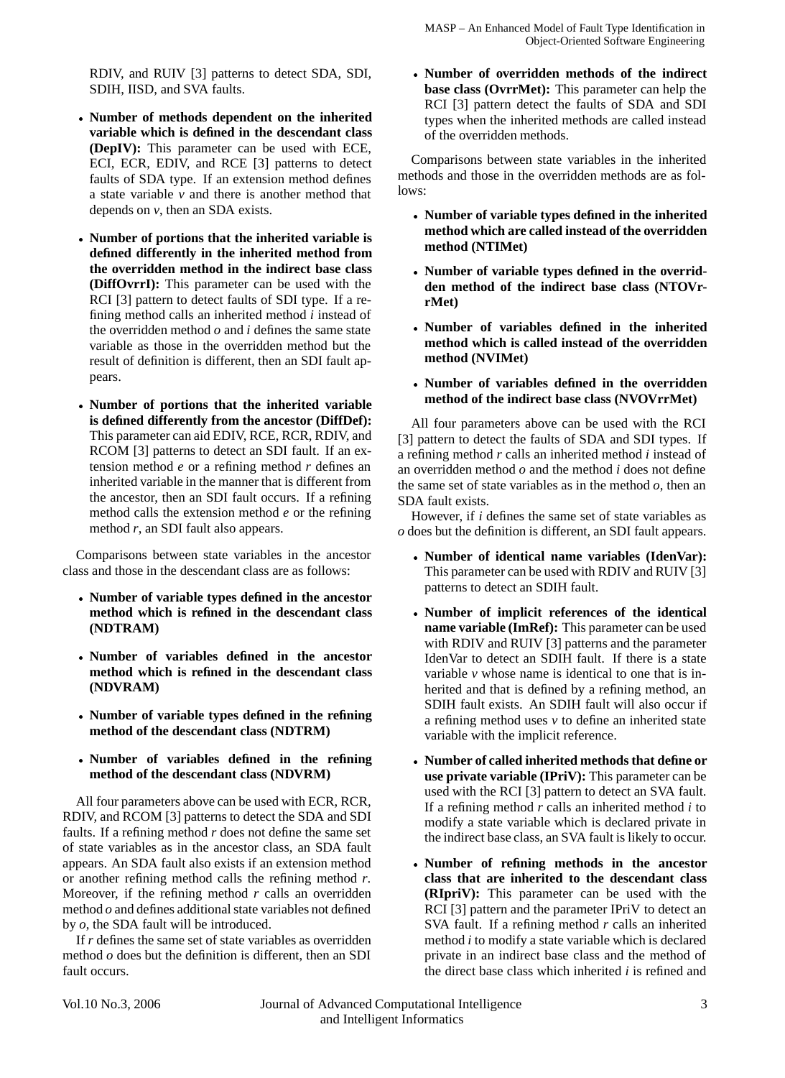RDIV, and RUIV [3] patterns to detect SDA, SDI, SDIH, IISD, and SVA faults.

- **Number of methods dependent on the inherited variable which is defined in the descendant class (DepIV):** This parameter can be used with ECE, ECI, ECR, EDIV, and RCE [3] patterns to detect faults of SDA type. If an extension method defines a state variable *v* and there is another method that depends on *v*, then an SDA exists.
- **Number of portions that the inherited variable is defined differently in the inherited method from the overridden method in the indirect base class (DiffOvrrI):** This parameter can be used with the RCI [3] pattern to detect faults of SDI type. If a refining method calls an inherited method *i* instead of the overridden method *o* and *i* defines the same state variable as those in the overridden method but the result of definition is different, then an SDI fault appears.
- **Number of portions that the inherited variable is defined differently from the ancestor (DiffDef):** This parameter can aid EDIV, RCE, RCR, RDIV, and RCOM [3] patterns to detect an SDI fault. If an extension method *e* or a refining method *r* defines an inherited variable in the manner that is different from the ancestor, then an SDI fault occurs. If a refining method calls the extension method *e* or the refining method *r*, an SDI fault also appears.

Comparisons between state variables in the ancestor class and those in the descendant class are as follows:

- **Number of variable types defined in the ancestor method which is refined in the descendant class (NDTRAM)**
- **Number of variables defined in the ancestor method which is refined in the descendant class (NDVRAM)**
- **Number of variable types defined in the refining method of the descendant class (NDTRM)**
- **Number of variables defined in the refining method of the descendant class (NDVRM)**

All four parameters above can be used with ECR, RCR, RDIV, and RCOM [3] patterns to detect the SDA and SDI faults. If a refining method *r* does not define the same set of state variables as in the ancestor class, an SDA fault appears. An SDA fault also exists if an extension method or another refining method calls the refining method *r*. Moreover, if the refining method *r* calls an overridden method *o* and defines additional state variables not defined by *o*, the SDA fault will be introduced.

If *r* defines the same set of state variables as overridden method *o* does but the definition is different, then an SDI fault occurs.

 **Number of overridden methods of the indirect base class (OvrrMet):** This parameter can help the RCI [3] pattern detect the faults of SDA and SDI types when the inherited methods are called instead of the overridden methods.

Comparisons between state variables in the inherited methods and those in the overridden methods are as follows:

- **Number of variable types defined in the inherited method which are called instead of the overridden method (NTIMet)**
- **Number of variable types defined in the overridden method of the indirect base class (NTOVrrMet)**
- **Number of variables defined in the inherited method which is called instead of the overridden method (NVIMet)**
- **Number of variables defined in the overridden method of the indirect base class (NVOVrrMet)**

All four parameters above can be used with the RCI [3] pattern to detect the faults of SDA and SDI types. If a refining method *r* calls an inherited method *i* instead of an overridden method *o* and the method *i* does not define the same set of state variables as in the method *o*, then an SDA fault exists.

However, if *i* defines the same set of state variables as *o* does but the definition is different, an SDI fault appears.

- **Number of identical name variables (IdenVar):** This parameter can be used with RDIV and RUIV [3] patterns to detect an SDIH fault.
- **Number of implicit references of the identical name variable (ImRef):** This parameter can be used with RDIV and RUIV [3] patterns and the parameter IdenVar to detect an SDIH fault. If there is a state variable *v* whose name is identical to one that is inherited and that is defined by a refining method, an SDIH fault exists. An SDIH fault will also occur if a refining method uses *v* to define an inherited state variable with the implicit reference.
- **Number of called inherited methods that define or use private variable (IPriV):** This parameter can be used with the RCI [3] pattern to detect an SVA fault. If a refining method *r* calls an inherited method *i* to modify a state variable which is declared private in the indirect base class, an SVA fault is likely to occur.
- **Number of refining methods in the ancestor class that are inherited to the descendant class (RIpriV):** This parameter can be used with the RCI [3] pattern and the parameter IPriV to detect an SVA fault. If a refining method *r* calls an inherited method *i* to modify a state variable which is declared private in an indirect base class and the method of the direct base class which inherited *i* is refined and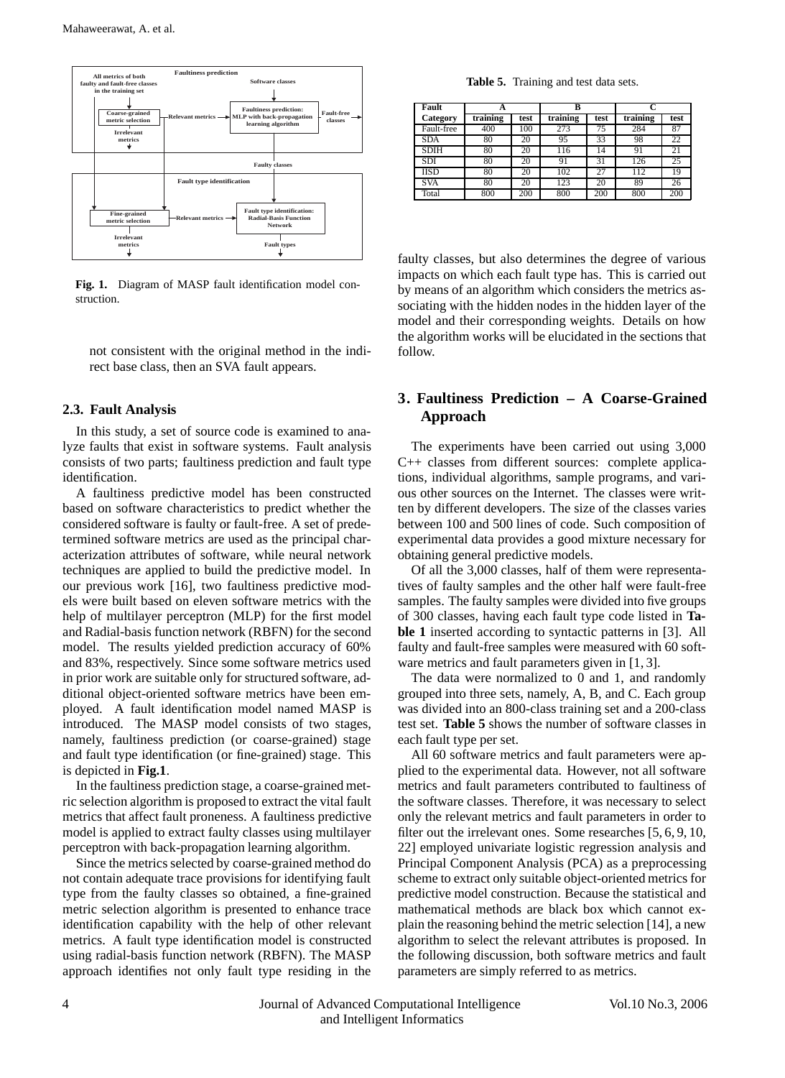

**Fig. 1.** Diagram of MASP fault identification model construction.

not consistent with the original method in the indirect base class, then an SVA fault appears.

#### **2.3. Fault Analysis**

In this study, a set of source code is examined to analyze faults that exist in software systems. Fault analysis consists of two parts; faultiness prediction and fault type identification.

A faultiness predictive model has been constructed based on software characteristics to predict whether the considered software is faulty or fault-free. A set of predetermined software metrics are used as the principal characterization attributes of software, while neural network techniques are applied to build the predictive model. In our previous work [16], two faultiness predictive models were built based on eleven software metrics with the help of multilayer perceptron (MLP) for the first model and Radial-basis function network (RBFN) for the second model. The results yielded prediction accuracy of 60% and 83%, respectively. Since some software metrics used in prior work are suitable only for structured software, additional object-oriented software metrics have been employed. A fault identification model named MASP is introduced. The MASP model consists of two stages, namely, faultiness prediction (or coarse-grained) stage and fault type identification (or fine-grained) stage. This is depicted in **Fig.1**.

In the faultiness prediction stage, a coarse-grained metric selection algorithm is proposed to extract the vital fault metrics that affect fault proneness. A faultiness predictive model is applied to extract faulty classes using multilayer perceptron with back-propagation learning algorithm.

Since the metrics selected by coarse-grained method do not contain adequate trace provisions for identifying fault type from the faulty classes so obtained, a fine-grained metric selection algorithm is presented to enhance trace identification capability with the help of other relevant metrics. A fault type identification model is constructed using radial-basis function network (RBFN). The MASP approach identifies not only fault type residing in the

**Table 5.** Training and test data sets.

| Fault       |          |      | в                |      |          |      |
|-------------|----------|------|------------------|------|----------|------|
| Category    | training | test | training         | test | training | test |
| Fault-free  | 400      | 100  | $2\overline{73}$ | 75   | 284      | 87   |
| <b>SDA</b>  | 80       | 20   | 95               | 33   | 98       | 22   |
| <b>SDIH</b> | 80       | 20   | 116              | 14   | 91       | 21   |
| SDI         | 80       | 20   | 91               | 31   | 126      | 25   |
| <b>IISD</b> | 80       | 20   | 102              | 27   | 112      | 19   |
| <b>SVA</b>  | 80       | 20   | 123              | 20   | 89       | 26   |
| Total       | 800      | 200  | 800              | 200  | 800      | 200  |

faulty classes, but also determines the degree of various impacts on which each fault type has. This is carried out by means of an algorithm which considers the metrics associating with the hidden nodes in the hidden layer of the model and their corresponding weights. Details on how the algorithm works will be elucidated in the sections that follow.

# **3. Faultiness Prediction – A Coarse-Grained Approach**

The experiments have been carried out using 3,000 C++ classes from different sources: complete applications, individual algorithms, sample programs, and various other sources on the Internet. The classes were written by different developers. The size of the classes varies between 100 and 500 lines of code. Such composition of experimental data provides a good mixture necessary for obtaining general predictive models.

Of all the 3,000 classes, half of them were representatives of faulty samples and the other half were fault-free samples. The faulty samples were divided into five groups of 300 classes, having each fault type code listed in **Table 1** inserted according to syntactic patterns in [3]. All faulty and fault-free samples were measured with 60 software metrics and fault parameters given in [1, 3].

The data were normalized to 0 and 1, and randomly grouped into three sets, namely, A, B, and C. Each group was divided into an 800-class training set and a 200-class test set. **Table 5** shows the number of software classes in each fault type per set.

All 60 software metrics and fault parameters were applied to the experimental data. However, not all software metrics and fault parameters contributed to faultiness of the software classes. Therefore, it was necessary to select only the relevant metrics and fault parameters in order to filter out the irrelevant ones. Some researches [5, 6, 9, 10, 22] employed univariate logistic regression analysis and Principal Component Analysis (PCA) as a preprocessing scheme to extract only suitable object-oriented metrics for predictive model construction. Because the statistical and mathematical methods are black box which cannot explain the reasoning behind the metric selection [14], a new algorithm to select the relevant attributes is proposed. In the following discussion, both software metrics and fault parameters are simply referred to as metrics.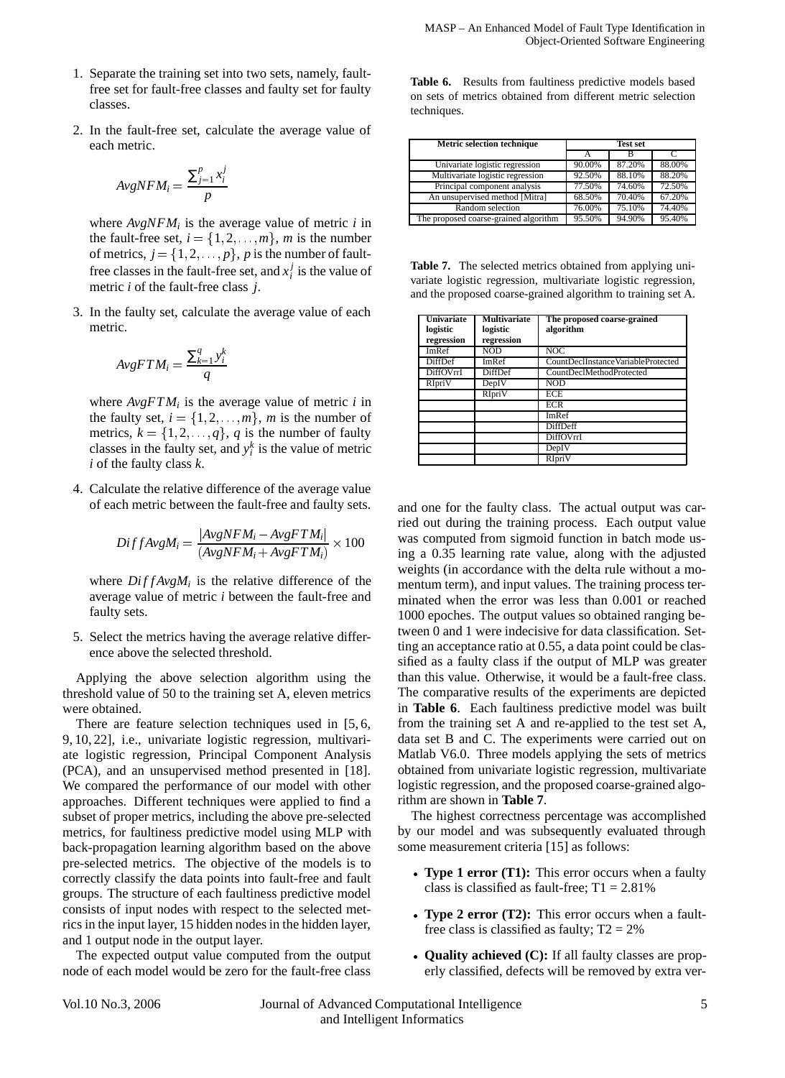- 1. Separate the training set into two sets, namely, faultfree set for fault-free classes and faulty set for faulty classes.
- 2. In the fault-free set, calculate the average value of each metric.

$$
AvgNFM_i = \frac{\sum_{j=1}^{p} x_i^j}{p}
$$

where  $AvgNFM_i$  is the average value of metric *i* in the fault-free set,  $i = \{1, 2, \ldots, m\}$ , *m* is the number of metrics,  $j = \{1, 2, \ldots, p\}$ , p is the number of faultfree classes in the fault-free set, and  $x_i^j$  is the value of metric *i* of the fault-free class *j*.

3. In the faulty set, calculate the average value of each metric.

$$
AvgFTM_i = \frac{\sum_{k=1}^{q} y_i^k}{q}
$$

where  $AveFTM_i$  is the average value of metric *i* in the faulty set,  $i = \{1, 2, \ldots, m\}$ , *m* is the number of metrics,  $k = \{1, 2, \ldots, q\}$ , *q* is the number of faulty classes in the faulty set, and  $y_i^k$  is the value of metric *i* of the faulty class *k*.

4. Calculate the relative difference of the average value of each metric between the fault-free and faulty sets.

$$
DiffAvgM_i = \frac{|AvgNFM_i - AvgFTM_i|}{(AvgNFM_i + AvgFTM_i)} \times 100
$$
 was  
ing

where  $DiffAvgM_i$  is the relative difference of the average value of metric *i* between the fault-free and faulty sets.

5. Select the metrics having the average relative difference above the selected threshold.

Applying the above selection algorithm using the threshold value of 50 to the training set A, eleven metrics were obtained.

There are feature selection techniques used in [5, 6, 9, 10, 22], i.e., univariate logistic regression, multivariate logistic regression, Principal Component Analysis (PCA), and an unsupervised method presented in [18]. We compared the performance of our model with other approaches. Different techniques were applied to find a subset of proper metrics, including the above pre-selected metrics, for faultiness predictive model using MLP with back-propagation learning algorithm based on the above pre-selected metrics. The objective of the models is to correctly classify the data points into fault-free and fault groups. The structure of each faultiness predictive model consists of input nodes with respect to the selected metrics in the input layer, 15 hidden nodes in the hidden layer, and 1 output node in the output layer.

The expected output value computed from the output node of each model would be zero for the fault-free class **Table 6.** Results from faultiness predictive models based on sets of metrics obtained from different metric selection techniques.

| <b>Metric selection technique</b>     | <b>Test set</b> |        |        |
|---------------------------------------|-----------------|--------|--------|
|                                       |                 |        |        |
| Univariate logistic regression        | 90.00%          | 87.20% | 88.00% |
| Multivariate logistic regression      | 92.50%          | 88.10% | 88.20% |
| Principal component analysis          | 77.50%          | 74.60% | 72.50% |
| An unsupervised method [Mitra]        | 68.50%          | 70.40% | 67.20% |
| Random selection                      | 76.00%          | 75.10% | 74.40% |
| The proposed coarse-grained algorithm | 95.50%          | 94.90% | 95.40% |

**Table 7.** The selected metrics obtained from applying univariate logistic regression, multivariate logistic regression, and the proposed coarse-grained algorithm to training set A.

| <b>Univariate</b><br>logistic<br>regression | <b>Multivariate</b><br>logistic<br>regression | The proposed coarse-grained<br>algorithm |
|---------------------------------------------|-----------------------------------------------|------------------------------------------|
| ImRef                                       | NOD                                           | NOC                                      |
| <b>DiffDef</b>                              | <b>ImRef</b>                                  | CountDeclInstanceVariableProtected       |
| DiffOVrrI                                   | DiffDef                                       | CountDeclMethodProtected                 |
| RIpriV                                      | DepIV                                         | <b>NOD</b>                               |
|                                             | RIpriV                                        | <b>ECE</b>                               |
|                                             |                                               | <b>ECR</b>                               |
|                                             |                                               | ImRef                                    |
|                                             |                                               | DiffDeff                                 |
|                                             |                                               | DiffOVrrI                                |
|                                             |                                               | DepIV                                    |
|                                             |                                               | RIpriV                                   |

and one for the faulty class. The actual output was carried out during the training process. Each output value was computed from sigmoid function in batch mode using a 0.35 learning rate value, along with the adjusted weights (in accordance with the delta rule without a momentum term), and input values. The training process terminated when the error was less than 0.001 or reached 1000 epoches. The output values so obtained ranging between 0 and 1 were indecisive for data classification. Setting an acceptance ratio at 0.55, a data point could be classified as a faulty class if the output of MLP was greater than this value. Otherwise, it would be a fault-free class. The comparative results of the experiments are depicted in **Table 6**. Each faultiness predictive model was built from the training set A and re-applied to the test set A, data set B and C. The experiments were carried out on Matlab V6.0. Three models applying the sets of metrics obtained from univariate logistic regression, multivariate logistic regression, and the proposed coarse-grained algorithm are shown in **Table 7**.

The highest correctness percentage was accomplished by our model and was subsequently evaluated through some measurement criteria [15] as follows:

- **Type 1 error (T1):** This error occurs when a faulty class is classified as fault-free;  $T1 = 2.81\%$
- **Type 2 error (T2):** This error occurs when a faultfree class is classified as faulty;  $T2 = 2\%$
- **Quality achieved (C):** If all faulty classes are properly classified, defects will be removed by extra ver-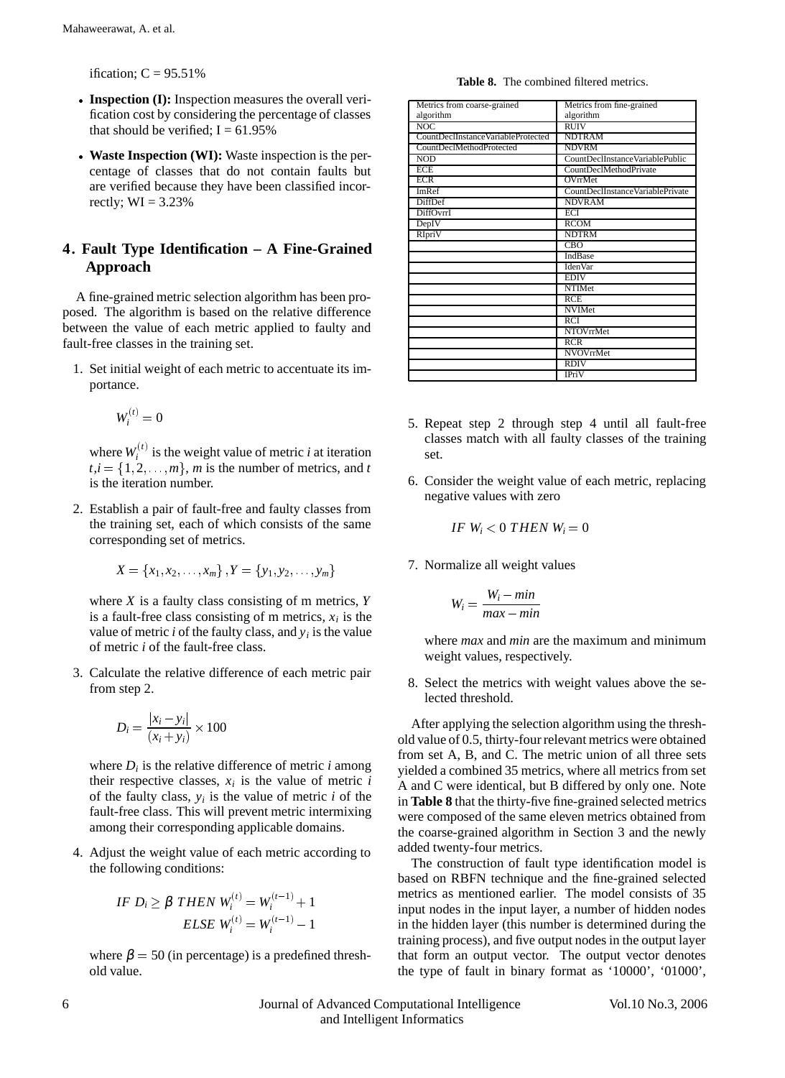ification;  $C = 95.51\%$ 

- **Inspection (I):** Inspection measures the overall verification cost by considering the percentage of classes that should be verified;  $I = 61.95\%$
- **Waste Inspection (WI):** Waste inspection is the percentage of classes that do not contain faults but are verified because they have been classified incorrectly;  $WI = 3.23%$

# **4. Fault Type Identification – A Fine-Grained Approach**

A fine-grained metric selection algorithm has been proposed. The algorithm is based on the relative difference between the value of each metric applied to faulty and fault-free classes in the training set.

1. Set initial weight of each metric to accentuate its importance.

$$
W_i^{(t)}=0
$$

where  $W_i^{(t)}$  is the weight value of metric *i* at iteration  $t, i = \{1, 2, \ldots, m\}$ , *m* is the number of metrics, and *t* is the iteration number.

2. Establish a pair of fault-free and faulty classes from the training set, each of which consists of the same corresponding set of metrics.

$$
X = \{x_1, x_2, \ldots, x_m\}, Y = \{y_1, y_2, \ldots, y_m\}
$$

where *X* is a faulty class consisting of m metrics, *Y* is a fault-free class consisting of m metrics,  $x_i$  is the value of metric *i* of the faulty class, and *yi* is the value of metric *i* of the fault-free class.

3. Calculate the relative difference of each metric pair from step 2.

$$
D_i = \frac{|x_i - y_i|}{(x_i + y_i)} \times 100
$$

where  $D_i$  is the relative difference of metric *i* among their respective classes,  $x_i$  is the value of metric  $i$ of the faulty class,  $y_i$  is the value of metric  $i$  of the fault-free class. This will prevent metric intermixing among their corresponding applicable domains.

4. Adjust the weight value of each metric according to the following conditions:

$$
IF D_i \ge \beta \text{ THEN } W_i^{(t)} = W_i^{(t-1)} + 1
$$
  

$$
ELSE W_i^{(t)} = W_i^{(t-1)} - 1
$$

where  $\beta = 50$  (in percentage) is a predefined threshold value.

**Table 8.** The combined filtered metrics.

| Metrics from coarse-grained        | Metrics from fine-grained        |
|------------------------------------|----------------------------------|
| algorithm                          | algorithm                        |
| NOC                                | <b>RUIV</b>                      |
| CountDeclInstanceVariableProtected | <b>NDTRAM</b>                    |
| CountDeclMethodProtected           | <b>NDVRM</b>                     |
| <b>NOD</b>                         | CountDeclInstanceVariablePublic  |
| <b>ECE</b>                         | CountDeclMethodPrivate           |
| <b>ECR</b>                         | <b>OVrrMet</b>                   |
| <b>ImRef</b>                       | CountDeclInstanceVariablePrivate |
| <b>DiffDef</b>                     | <b>NDVRAM</b>                    |
| DiffOvrrI                          | ECI                              |
| DepIV                              | RCOM                             |
| <b>RIpriV</b>                      | <b>NDTRM</b>                     |
|                                    | <b>CBO</b>                       |
|                                    | IndBase                          |
|                                    | <b>IdenVar</b>                   |
|                                    | <b>EDIV</b>                      |
|                                    | <b>NTIMet</b>                    |
|                                    | RCE                              |
|                                    | <b>NVIMet</b>                    |
|                                    | <b>RCI</b>                       |
|                                    | <b>NTOVrrMet</b>                 |
|                                    | RCR                              |
|                                    | NVOVrrMet                        |
|                                    | <b>RDIV</b>                      |
|                                    | <b>IPriV</b>                     |

- 5. Repeat step 2 through step 4 until all fault-free classes match with all faulty classes of the training set.
- 6. Consider the weight value of each metric, replacing negative values with zero

*IF*  $W_i < 0$  *THEN*  $W_i = 0$ 

7. Normalize all weight values

$$
W_i = \frac{W_i - \min}{\max - \min}
$$

where *max* and *min* are the maximum and minimum weight values, respectively.

8. Select the metrics with weight values above the selected threshold.

After applying the selection algorithm using the threshold value of 0.5, thirty-four relevant metrics were obtained from set A, B, and C. The metric union of all three sets yielded a combined 35 metrics, where all metrics from set A and C were identical, but B differed by only one. Note in **Table 8** that the thirty-five fine-grained selected metrics were composed of the same eleven metrics obtained from the coarse-grained algorithm in Section 3 and the newly added twenty-four metrics.

The construction of fault type identification model is based on RBFN technique and the fine-grained selected metrics as mentioned earlier. The model consists of 35 input nodes in the input layer, a number of hidden nodes in the hidden layer (this number is determined during the training process), and five output nodes in the output layer that form an output vector. The output vector denotes the type of fault in binary format as '10000', '01000',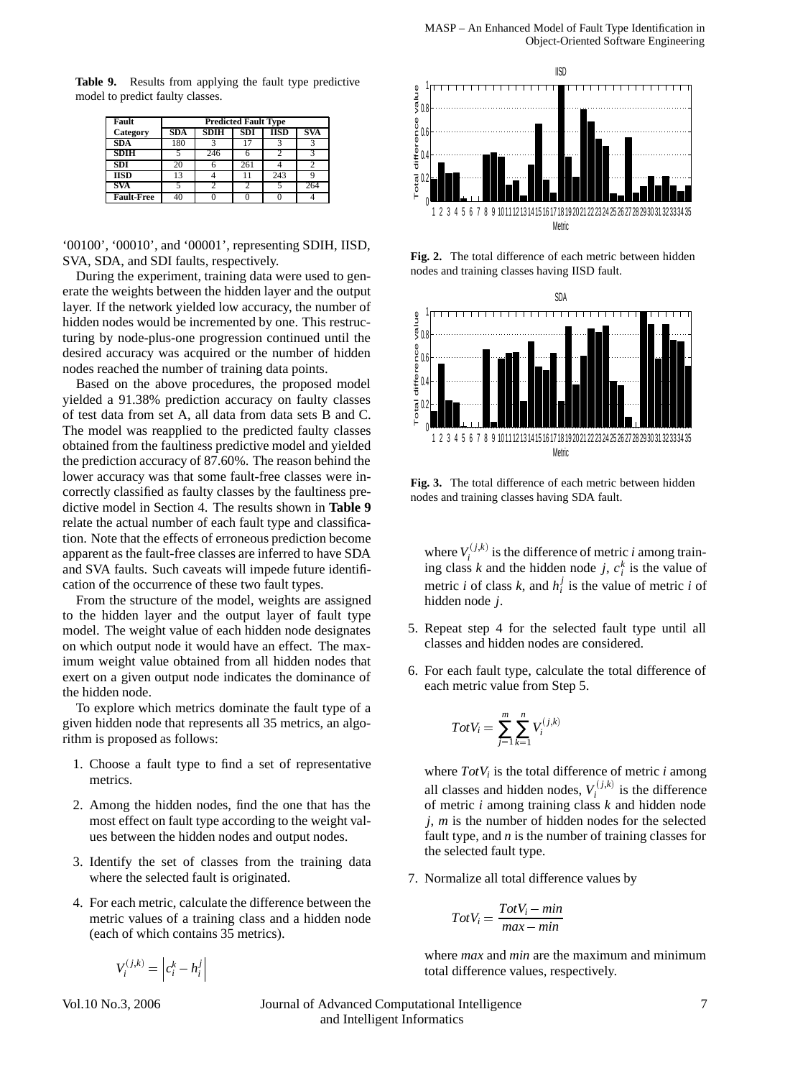**Table 9.** Results from applying the fault type predictive model to predict faulty classes.

| Fault             | <b>Predicted Fault Type</b> |                                          |     |     |     |  |  |
|-------------------|-----------------------------|------------------------------------------|-----|-----|-----|--|--|
| Category          |                             | IISD<br>SDI<br><b>SDA</b><br>SVA<br>SDIH |     |     |     |  |  |
| <b>SDA</b>        | 180                         |                                          |     |     |     |  |  |
| <b>SDIH</b>       |                             | 246                                      |     |     |     |  |  |
| <b>SDI</b>        | 20                          |                                          | 261 |     |     |  |  |
| <b>IISD</b>       | 13                          |                                          | 11  | 243 |     |  |  |
| <b>SVA</b>        |                             |                                          |     |     | 264 |  |  |
| <b>Fault-Free</b> | 40                          |                                          |     |     |     |  |  |

'00100', '00010', and '00001', representing SDIH, IISD, SVA, SDA, and SDI faults, respectively.

During the experiment, training data were used to generate the weights between the hidden layer and the output layer. If the network yielded low accuracy, the number of hidden nodes would be incremented by one. This restructuring by node-plus-one progression continued until the desired accuracy was acquired or the number of hidden nodes reached the number of training data points.

Based on the above procedures, the proposed model yielded a 91.38% prediction accuracy on faulty classes of test data from set A, all data from data sets B and C. The model was reapplied to the predicted faulty classes obtained from the faultiness predictive model and yielded the prediction accuracy of 87.60%. The reason behind the lower accuracy was that some fault-free classes were incorrectly classified as faulty classes by the faultiness predictive model in Section 4. The results shown in **Table 9** relate the actual number of each fault type and classification. Note that the effects of erroneous prediction become apparent as the fault-free classes are inferred to have SDA and SVA faults. Such caveats will impede future identification of the occurrence of these two fault types.

From the structure of the model, weights are assigned to the hidden layer and the output layer of fault type model. The weight value of each hidden node designates on which output node it would have an effect. The maximum weight value obtained from all hidden nodes that exert on a given output node indicates the dominance of the hidden node.

To explore which metrics dominate the fault type of a given hidden node that represents all 35 metrics, an algorithm is proposed as follows:

- 1. Choose a fault type to find a set of representative metrics.
- 2. Among the hidden nodes, find the one that has the most effect on fault type according to the weight values between the hidden nodes and output nodes.
- 3. Identify the set of classes from the training data where the selected fault is originated.
- 4. For each metric, calculate the difference between the metric values of a training class and a hidden node (each of which contains 35 metrics).

 $V_i^{(j,k)} = \left| c_i^k - h_i^j \right|$  $c_i^k - h_i^j$  $\mathbb{R}^n$ 



**Fig. 2.** The total difference of each metric between hidden nodes and training classes having IISD fault.



**Fig. 3.** The total difference of each metric between hidden nodes and training classes having SDA fault.

where  $V_i^{(j,k)}$  is the difference of metric *i* among training class *k* and the hidden node *j*,  $c_i^k$  is the value of metric *i* of class *k*, and  $h_i^j$  is the value of metric *i* of hidden node *j*.

- 5. Repeat step 4 for the selected fault type until all classes and hidden nodes are considered.
- 6. For each fault type, calculate the total difference of each metric value from Step 5.

$$
TotV_i = \sum_{j=1}^{m} \sum_{k=1}^{n} V_i^{(j,k)}
$$

where  $TotV_i$  is the total difference of metric *i* among all classes and hidden nodes,  $V_i^{(j,k)}$  is the difference of metric *i* among training class *k* and hidden node *j*, *m* is the number of hidden nodes for the selected fault type, and *n* is the number of training classes for the selected fault type.

7. Normalize all total difference values by

$$
TotV_i = \frac{TotV_i - min}{max - min}
$$

where *max* and *min* are the maximum and minimum total difference values, respectively.

Vol.10 No.3, 2006 Journal of Advanced Computational Intelligence 7 and Intelligent Informatics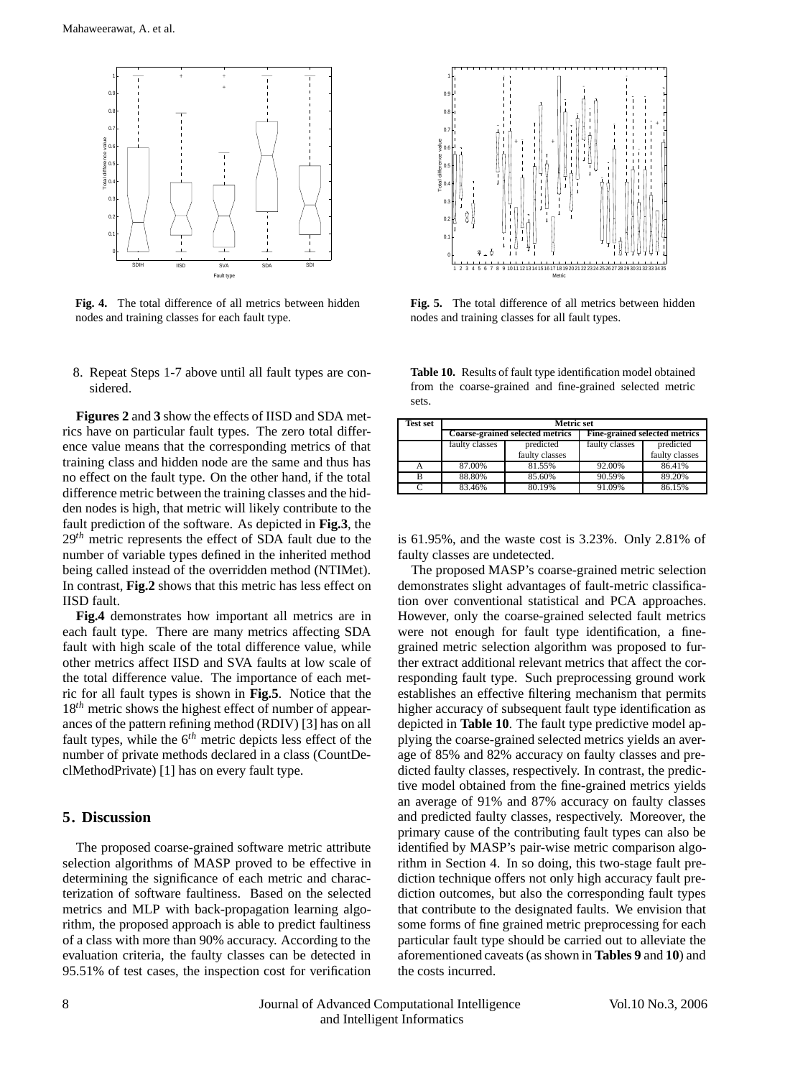

**Fig. 4.** The total difference of all metrics between hidden nodes and training classes for each fault type.

8. Repeat Steps 1-7 above until all fault types are considered.

**Figures 2** and **3** show the effects of IISD and SDA metrics have on particular fault types. The zero total difference value means that the corresponding metrics of that training class and hidden node are the same and thus has no effect on the fault type. On the other hand, if the total difference metric between the training classes and the hidden nodes is high, that metric will likely contribute to the fault prediction of the software. As depicted in **Fig.3**, the 29*th* metric represents the effect of SDA fault due to the number of variable types defined in the inherited method being called instead of the overridden method (NTIMet). In contrast, **Fig.2** shows that this metric has less effect on IISD fault.

**Fig.4** demonstrates how important all metrics are in each fault type. There are many metrics affecting SDA fault with high scale of the total difference value, while other metrics affect IISD and SVA faults at low scale of the total difference value. The importance of each metric for all fault types is shown in **Fig.5**. Notice that the 18<sup>th</sup> metric shows the highest effect of number of appearances of the pattern refining method (RDIV) [3] has on all fault types, while the 6*th* metric depicts less effect of the number of private methods declared in a class (CountDeclMethodPrivate) [1] has on every fault type.

## **5. Discussion**

The proposed coarse-grained software metric attribute selection algorithms of MASP proved to be effective in determining the significance of each metric and characterization of software faultiness. Based on the selected metrics and MLP with back-propagation learning algorithm, the proposed approach is able to predict faultiness of a class with more than 90% accuracy. According to the evaluation criteria, the faulty classes can be detected in 95.51% of test cases, the inspection cost for verification



**Fig. 5.** The total difference of all metrics between hidden nodes and training classes for all fault types.

**Table 10.** Results of fault type identification model obtained from the coarse-grained and fine-grained selected metric sets.

| <b>Test set</b> | <b>Metric set</b> |                                        |                |                                      |  |
|-----------------|-------------------|----------------------------------------|----------------|--------------------------------------|--|
|                 |                   | <b>Coarse-grained selected metrics</b> |                | <b>Fine-grained selected metrics</b> |  |
|                 | faulty classes    | predicted                              | faulty classes | predicted                            |  |
|                 |                   | faulty classes                         |                | faulty classes                       |  |
| A               | 87.00%            | 81.55%                                 | 92.00%         | 86.41%                               |  |
| в               | 88.80%            | 85.60%                                 | 90.59%         | 89.20%                               |  |
|                 | 83.46%            | 80.19%                                 | 91.09%         | 86.15%                               |  |

is 61.95%, and the waste cost is 3.23%. Only 2.81% of faulty classes are undetected.

The proposed MASP's coarse-grained metric selection demonstrates slight advantages of fault-metric classification over conventional statistical and PCA approaches. However, only the coarse-grained selected fault metrics were not enough for fault type identification, a finegrained metric selection algorithm was proposed to further extract additional relevant metrics that affect the corresponding fault type. Such preprocessing ground work establishes an effective filtering mechanism that permits higher accuracy of subsequent fault type identification as depicted in **Table 10**. The fault type predictive model applying the coarse-grained selected metrics yields an average of 85% and 82% accuracy on faulty classes and predicted faulty classes, respectively. In contrast, the predictive model obtained from the fine-grained metrics yields an average of 91% and 87% accuracy on faulty classes and predicted faulty classes, respectively. Moreover, the primary cause of the contributing fault types can also be identified by MASP's pair-wise metric comparison algorithm in Section 4. In so doing, this two-stage fault prediction technique offers not only high accuracy fault prediction outcomes, but also the corresponding fault types that contribute to the designated faults. We envision that some forms of fine grained metric preprocessing for each particular fault type should be carried out to alleviate the aforementioned caveats (as shown in **Tables 9** and **10**) and the costs incurred.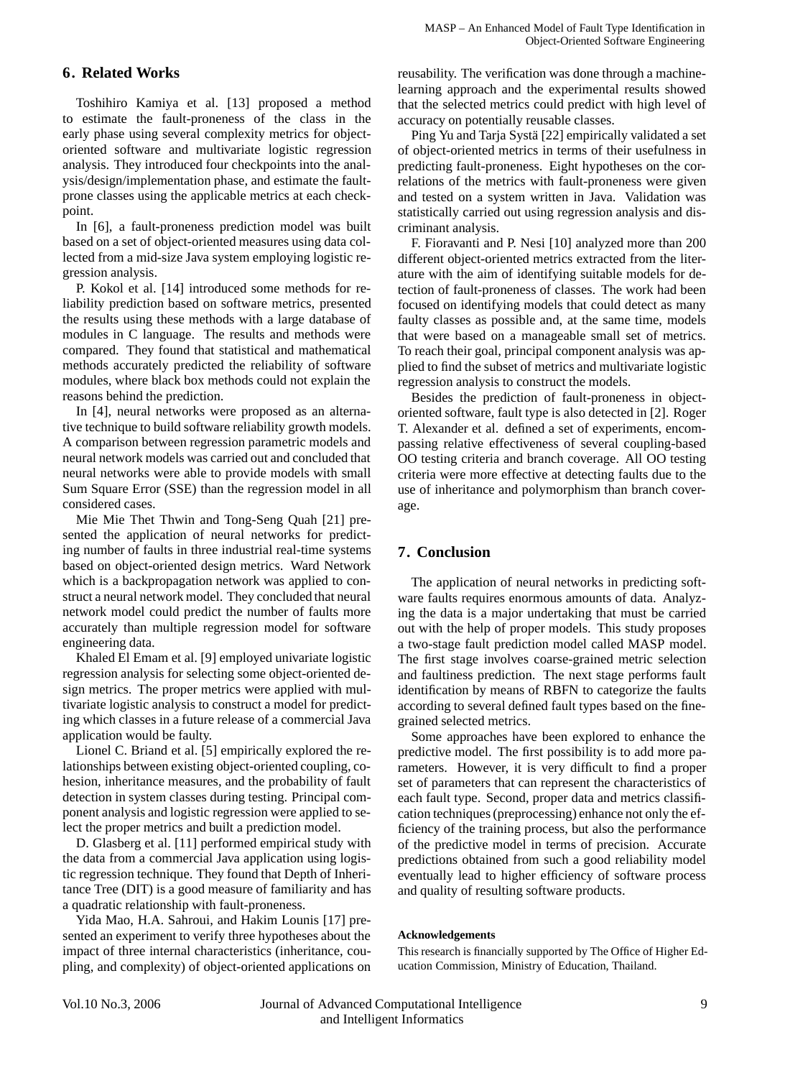# **6. Related Works**

Toshihiro Kamiya et al. [13] proposed a method to estimate the fault-proneness of the class in the early phase using several complexity metrics for objectoriented software and multivariate logistic regression analysis. They introduced four checkpoints into the analysis/design/implementation phase, and estimate the faultprone classes using the applicable metrics at each checkpoint.

In [6], a fault-proneness prediction model was built based on a set of object-oriented measures using data collected from a mid-size Java system employing logistic regression analysis.

P. Kokol et al. [14] introduced some methods for reliability prediction based on software metrics, presented the results using these methods with a large database of modules in C language. The results and methods were compared. They found that statistical and mathematical methods accurately predicted the reliability of software modules, where black box methods could not explain the reasons behind the prediction.

In [4], neural networks were proposed as an alternative technique to build software reliability growth models. A comparison between regression parametric models and neural network models was carried out and concluded that neural networks were able to provide models with small Sum Square Error (SSE) than the regression model in all considered cases.

Mie Mie Thet Thwin and Tong-Seng Quah [21] presented the application of neural networks for predicting number of faults in three industrial real-time systems based on object-oriented design metrics. Ward Network which is a backpropagation network was applied to construct a neural network model. They concluded that neural network model could predict the number of faults more accurately than multiple regression model for software engineering data.

Khaled El Emam et al. [9] employed univariate logistic regression analysis for selecting some object-oriented design metrics. The proper metrics were applied with multivariate logistic analysis to construct a model for predicting which classes in a future release of a commercial Java application would be faulty.

Lionel C. Briand et al. [5] empirically explored the relationships between existing object-oriented coupling, cohesion, inheritance measures, and the probability of fault detection in system classes during testing. Principal component analysis and logistic regression were applied to select the proper metrics and built a prediction model.

D. Glasberg et al. [11] performed empirical study with the data from a commercial Java application using logistic regression technique. They found that Depth of Inheritance Tree (DIT) is a good measure of familiarity and has a quadratic relationship with fault-proneness.

Yida Mao, H.A. Sahroui, and Hakim Lounis [17] presented an experiment to verify three hypotheses about the impact of three internal characteristics (inheritance, coupling, and complexity) of object-oriented applications on reusability. The verification was done through a machinelearning approach and the experimental results showed that the selected metrics could predict with high level of accuracy on potentially reusable classes.

Ping Yu and Tarja Systä [22] empirically validated a set of object-oriented metrics in terms of their usefulness in predicting fault-proneness. Eight hypotheses on the correlations of the metrics with fault-proneness were given and tested on a system written in Java. Validation was statistically carried out using regression analysis and discriminant analysis.

F. Fioravanti and P. Nesi [10] analyzed more than 200 different object-oriented metrics extracted from the literature with the aim of identifying suitable models for detection of fault-proneness of classes. The work had been focused on identifying models that could detect as many faulty classes as possible and, at the same time, models that were based on a manageable small set of metrics. To reach their goal, principal component analysis was applied to find the subset of metrics and multivariate logistic regression analysis to construct the models.

Besides the prediction of fault-proneness in objectoriented software, fault type is also detected in [2]. Roger T. Alexander et al. defined a set of experiments, encompassing relative effectiveness of several coupling-based OO testing criteria and branch coverage. All OO testing criteria were more effective at detecting faults due to the use of inheritance and polymorphism than branch coverage.

# **7. Conclusion**

The application of neural networks in predicting software faults requires enormous amounts of data. Analyzing the data is a major undertaking that must be carried out with the help of proper models. This study proposes a two-stage fault prediction model called MASP model. The first stage involves coarse-grained metric selection and faultiness prediction. The next stage performs fault identification by means of RBFN to categorize the faults according to several defined fault types based on the finegrained selected metrics.

Some approaches have been explored to enhance the predictive model. The first possibility is to add more parameters. However, it is very difficult to find a proper set of parameters that can represent the characteristics of each fault type. Second, proper data and metrics classification techniques (preprocessing) enhance not only the efficiency of the training process, but also the performance of the predictive model in terms of precision. Accurate predictions obtained from such a good reliability model eventually lead to higher efficiency of software process and quality of resulting software products.

## **Acknowledgements**

This research is financially supported by The Office of Higher Education Commission, Ministry of Education, Thailand.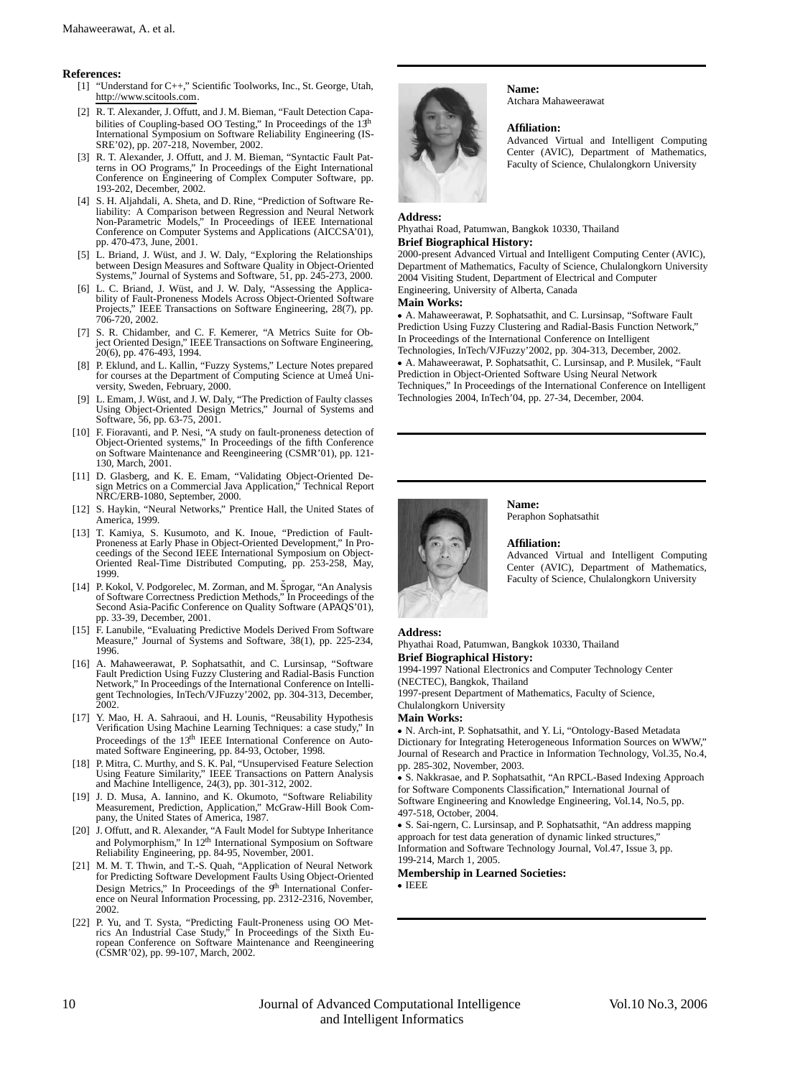#### **References:**

- [1] "Understand for C++," Scientific Toolworks, Inc., St. George, Utah, http://www.scitools.com.
- [2] R. T. Alexander, J. Offutt, and J. M. Bieman, "Fault Detection Capabilities of Coupling-based OO Testing," In Proceedings of the 13<sup>th</sup> International Symposium on Software Reliability Engineering (IS-SRE'02), pp. 207-218, November, 2002.
- [3] R. T. Alexander, J. Offutt, and J. M. Bieman, "Syntactic Fault Patterns in OO Programs," In Proceedings of the Eight International Conference on Engineering of Complex Computer Software, pp. 193-202, December, 2002.
- [4] S. H. Aljahdali, A. Sheta, and D. Rine, "Prediction of Software Reliability: A Comparison between Regression and Neural Network Non-Parametric Models," In Proceedings of IEEE International Conference on Computer Systems and Applications (AICCSA'01), pp. 470-473, June, 2001.
- [5] L. Briand, J. Wüst, and J. W. Daly, "Exploring the Relationships between Design Measures and Software Quality in Object-Oriented Systems," Journal of Systems and Software, 51, pp. 245-273, 2000.
- [6] L. C. Briand, J. Wüst, and J. W. Daly, "Assessing the Applicability of Fault-Proneness Models Across Object-Oriented Software Projects," IEEE Transactions on Software Engineering, 28(7), pp. 706-720, 2002.
- [7] S. R. Chidamber, and C. F. Kemerer, "A Metrics Suite for Ob-ject Oriented Design," IEEE Transactions on Software Engineering, 20(6), pp. 476-493, 1994.
- [8] P. Eklund, and L. Kallin, "Fuzzy Systems," Lecture Notes prepared for courses at the Department of Computing Science at Umeå University, Sweden, February, 2000.
- [9] L. Emam, J. Wüst, and J. W. Daly, "The Prediction of Faulty classes Using Object-Oriented Design Metrics," Journal of Systems and Software, 56, pp. 63-75, 2001.
- [10] F. Fioravanti, and P. Nesi, "A study on fault-proneness detection of Object-Oriented systems," In Proceedings of the fifth Conference on Software Maintenance and Reengineering (CSMR'01), pp. 121- 130, March, 2001.
- [11] D. Glasberg, and K. E. Emam, "Validating Object-Oriented Design Metrics on a Commercial Java Application," Technical Report NRC/ERB-1080, September, 2000.
- [12] S. Haykin, "Neural Networks," Prentice Hall, the United States of America, 1999.
- [13] T. Kamiya, S. Kusumoto, and K. Inoue, "Prediction of Fault-Proneness at Early Phase in Object-Oriented Development," In Proceedings of the Second IEEE International Symposium on Object-Oriented Real-Time Distributed Computing, pp. 253-258, May, 1999.
- [14] P. Kokol, V. Podgorelec, M. Zorman, and M. Šprogar, "An Analysis of Software Correctness Prediction Methods," In Proceedings of the Second Asia-Pacific Conference on Quality Software (APAQS'01), pp. 33-39, December, 2001.
- [15] F. Lanubile, "Evaluating Predictive Models Derived From Software Measure," Journal of Systems and Software, 38(1), pp. 225-234, 1996.
- [16] A. Mahaweerawat, P. Sophatsathit, and C. Lursinsap, "Software Fault Prediction Using Fuzzy Clustering and Radial-Basis Function Network," In Proceedings of the International Conference on Intelligent Technologies, InTech/VJFuzzy'2002, pp. 304-313, December, 2002.
- [17] Y. Mao, H. A. Sahraoui, and H. Lounis, "Reusability Hypothesis Verification Using Machine Learning Techniques: a case study," In Proceedings of the 13<sup>th</sup> IEEE International Conference on Automated Software Engineering, pp. 84-93, October, 1998.
- [18] P. Mitra, C. Murthy, and S. K. Pal, "Unsupervised Feature Selection Using Feature Similarity," IEEE Transactions on Pattern Analysis and Machine Intelligence, 24(3), pp. 301-312, 2002.
- [19] J. D. Musa, A. Iannino, and K. Okumoto, "Software Reliability Measurement, Prediction, Application," McGraw-Hill Book Company, the United States of America, 1987.
- [20] J. Offutt, and R. Alexander, "A Fault Model for Subtype Inheritance and Polymorphism," In 12<sup>th</sup> International Symposium on Software Reliability Engineering, pp. 84-95, November, 2001.
- [21] M. M. T. Thwin, and T.-S. Quah, "Application of Neural Network for Predicting Software Development Faults Using Object-Oriented Design Metrics," In Proceedings of the 9<sup>th</sup> International Confer-<br>ence on Neural Information Processing, pp. 2312-2316, November, 2002.
- [22] P. Yu, and T. Systa, "Predicting Fault-Proneness using OO Met-rics An Industrial Case Study," In Proceedings of the Sixth European Conference on Software Maintenance and Reengineering (CSMR'02), pp. 99-107, March, 2002.



**Name:** Atchara Mahaweerawat

#### **Affiliation:**

Advanced Virtual and Intelligent Computing Center (AVIC), Department of Mathematics, Faculty of Science, Chulalongkorn University

#### **Address:**

Phyathai Road, Patumwan, Bangkok 10330, Thailand **Brief Biographical History:**

2000-present Advanced Virtual and Intelligent Computing Center (AVIC), Department of Mathematics, Faculty of Science, Chulalongkorn University 2004 Visiting Student, Department of Electrical and Computer Engineering, University of Alberta, Canada

**Main Works:**

 A. Mahaweerawat, P. Sophatsathit, and C. Lursinsap, "Software Fault Prediction Using Fuzzy Clustering and Radial-Basis Function Network," In Proceedings of the International Conference on Intelligent Technologies, InTech/VJFuzzy'2002, pp. 304-313, December, 2002.

 A. Mahaweerawat, P. Sophatsathit, C. Lursinsap, and P. Musilek, "Fault Prediction in Object-Oriented Software Using Neural Network Techniques," In Proceedings of the International Conference on Intelligent Technologies 2004, InTech'04, pp. 27-34, December, 2004.



Peraphon Sophatsathit

#### **Affiliation:**

**Name:**

Advanced Virtual and Intelligent Computing Center (AVIC), Department of Mathematics, Faculty of Science, Chulalongkorn University

### **Address:**

Phyathai Road, Patumwan, Bangkok 10330, Thailand **Brief Biographical History:**

1994-1997 National Electronics and Computer Technology Center (NECTEC), Bangkok, Thailand

1997-present Department of Mathematics, Faculty of Science, Chulalongkorn University

#### **Main Works:**

 N. Arch-int, P. Sophatsathit, and Y. Li, "Ontology-Based Metadata Dictionary for Integrating Heterogeneous Information Sources on WWW," Journal of Research and Practice in Information Technology, Vol.35, No.4, pp. 285-302, November, 2003.

 S. Nakkrasae, and P. Sophatsathit, "An RPCL-Based Indexing Approach for Software Components Classification," International Journal of Software Engineering and Knowledge Engineering, Vol.14, No.5, pp. 497-518, October, 2004.

 S. Sai-ngern, C. Lursinsap, and P. Sophatsathit, "An address mapping approach for test data generation of dynamic linked structures,' Information and Software Technology Journal, Vol.47, Issue 3, pp. 199-214, March 1, 2005.

#### **Membership in Learned Societies:**

IEEE